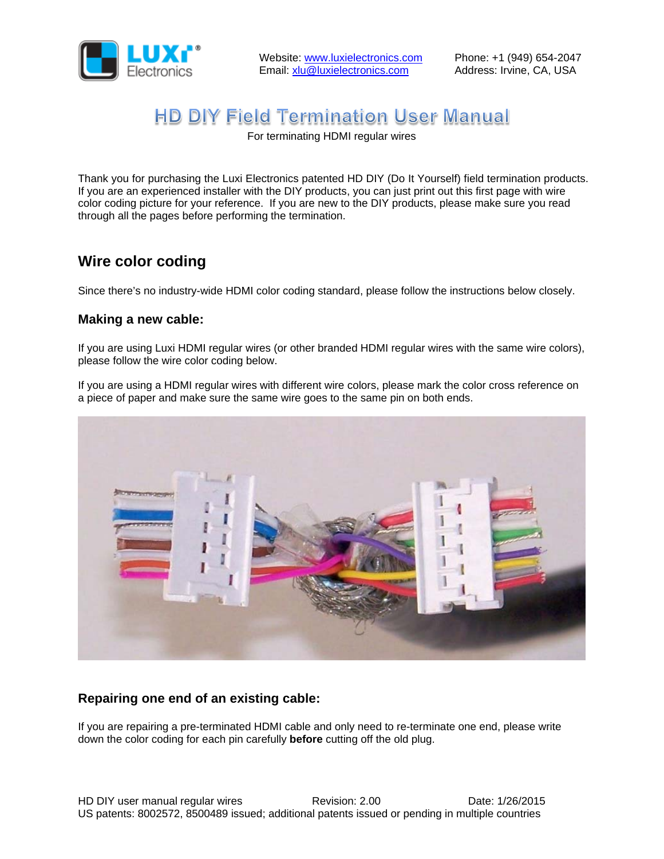

# **HD DIY Field Termination User Manual**

For terminating HDMI regular wires

Thank you for purchasing the Luxi Electronics patented HD DIY (Do It Yourself) field termination products. If you are an experienced installer with the DIY products, you can just print out this first page with wire color coding picture for your reference. If you are new to the DIY products, please make sure you read through all the pages before performing the termination.

## **Wire color coding**

Since there's no industry-wide HDMI color coding standard, please follow the instructions below closely.

#### **Making a new cable:**

If you are using Luxi HDMI regular wires (or other branded HDMI regular wires with the same wire colors), please follow the wire color coding below.

If you are using a HDMI regular wires with different wire colors, please mark the color cross reference on a piece of paper and make sure the same wire goes to the same pin on both ends.



#### **Repairing one end of an existing cable:**

If you are repairing a pre-terminated HDMI cable and only need to re-terminate one end, please write down the color coding for each pin carefully **before** cutting off the old plug.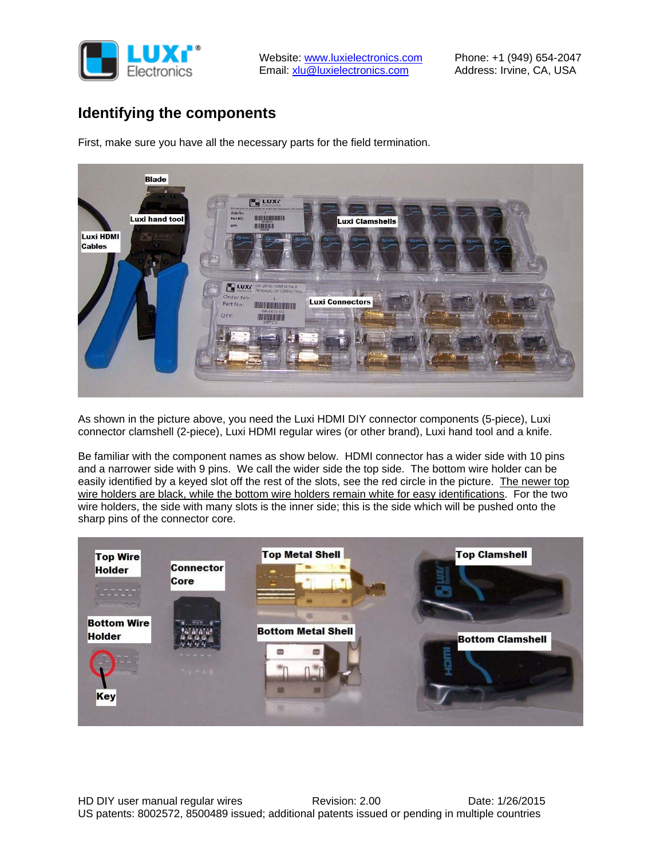

## **Identifying the components**

First, make sure you have all the necessary parts for the field termination.



As shown in the picture above, you need the Luxi HDMI DIY connector components (5-piece), Luxi connector clamshell (2-piece), Luxi HDMI regular wires (or other brand), Luxi hand tool and a knife.

Be familiar with the component names as show below. HDMI connector has a wider side with 10 pins and a narrower side with 9 pins. We call the wider side the top side. The bottom wire holder can be easily identified by a keyed slot off the rest of the slots, see the red circle in the picture. The newer top wire holders are black, while the bottom wire holders remain white for easy identifications. For the two wire holders, the side with many slots is the inner side; this is the side which will be pushed onto the sharp pins of the connector core.

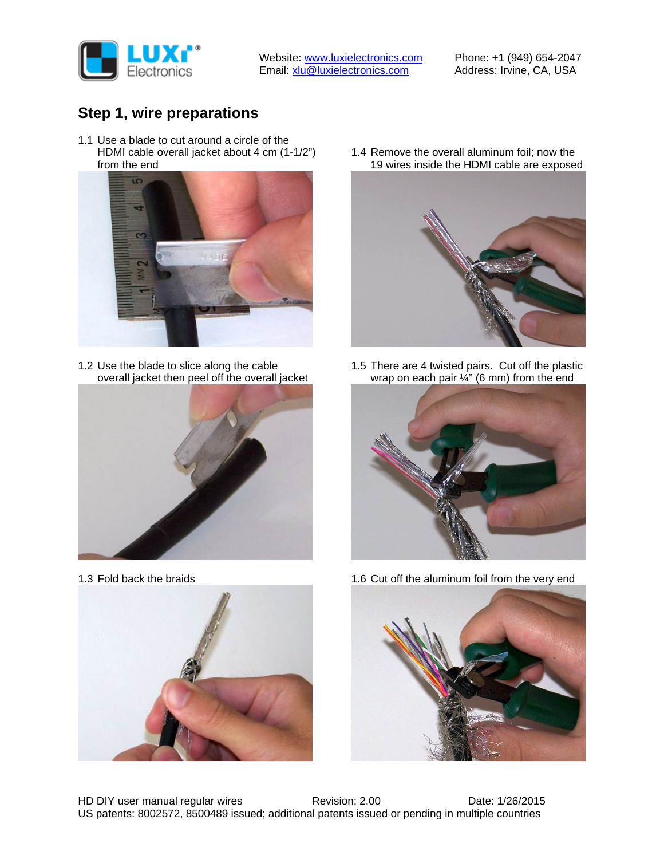

Website: www.luxielectronics.com Email: xlu@luxielectronics.com

Phone: +1 (949) 654-2047 Address: Irvine, CA, USA

## **Step 1, wire preparations**

1.1 Use a blade to cut around a circle of the HDMI cable overall jacket about 4 cm (1-1/2") from the end



1.2 Use the blade to slice along the cable overall jacket then peel off the overall jacket



1.3 Fold back the braids



1.4 Remove the overall aluminum foil; now the 19 wires inside the HDMI cable are exposed



1.5 There are 4 twisted pairs. Cut off the plastic wrap on each pair  $\frac{1}{4}$ " (6 mm) from the end



1.6 Cut off the aluminum foil from the very end

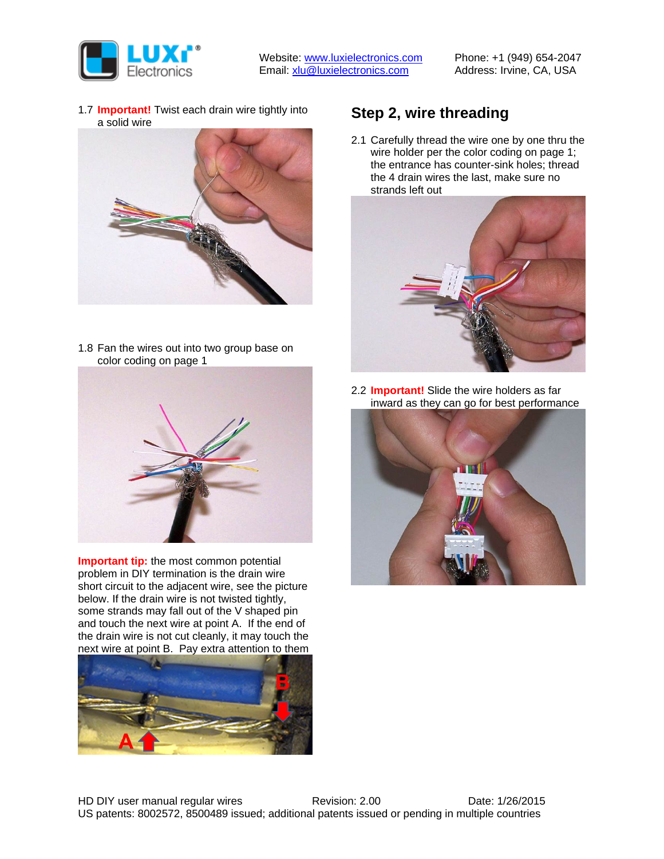

1.7 **Important!** Twist each drain wire tightly into a solid wire



1.8 Fan the wires out into two group base on color coding on page 1



**Important tip:** the most common potential problem in DIY termination is the drain wire short circuit to the adjacent wire, see the picture below. If the drain wire is not twisted tightly, some strands may fall out of the V shaped pin and touch the next wire at point A. If the end of the drain wire is not cut cleanly, it may touch the next wire at point B. Pay extra attention to them



## **Step 2, wire threading**

2.1 Carefully thread the wire one by one thru the wire holder per the color coding on page 1; the entrance has counter-sink holes; thread the 4 drain wires the last, make sure no strands left out



2.2 **Important!** Slide the wire holders as far inward as they can go for best performance

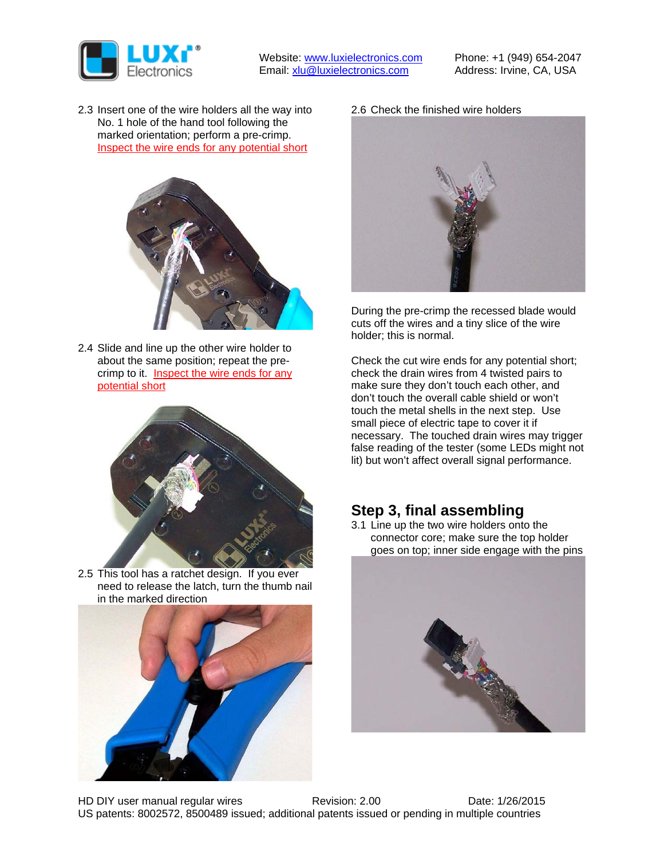

2.3 Insert one of the wire holders all the way into No. 1 hole of the hand tool following the marked orientation; perform a pre-crimp. Inspect the wire ends for any potential short



2.4 Slide and line up the other wire holder to about the same position; repeat the precrimp to it. Inspect the wire ends for any potential short



2.5 This tool has a ratchet design. If you ever need to release the latch, turn the thumb nail in the marked direction



2.6 Check the finished wire holders



During the pre-crimp the recessed blade would cuts off the wires and a tiny slice of the wire holder; this is normal.

Check the cut wire ends for any potential short; check the drain wires from 4 twisted pairs to make sure they don't touch each other, and don't touch the overall cable shield or won't touch the metal shells in the next step. Use small piece of electric tape to cover it if necessary. The touched drain wires may trigger false reading of the tester (some LEDs might not lit) but won't affect overall signal performance.

#### **Step 3, final assembling**

3.1 Line up the two wire holders onto the connector core; make sure the top holder goes on top; inner side engage with the pins

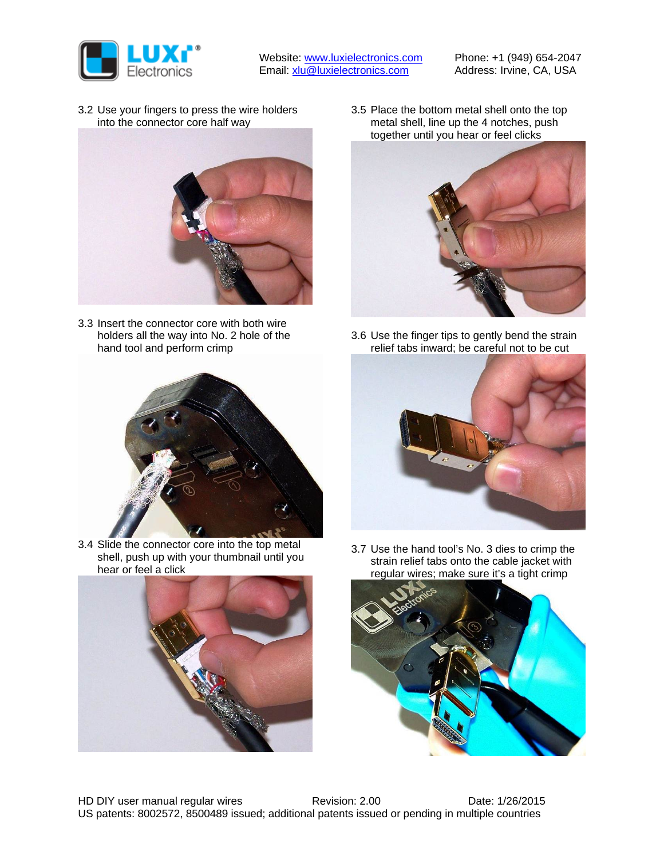

3.2 Use your fingers to press the wire holders into the connector core half way



3.3 Insert the connector core with both wire holders all the way into No. 2 hole of the hand tool and perform crimp



3.4 Slide the connector core into the top metal shell, push up with your thumbnail until you hear or feel a click



3.5 Place the bottom metal shell onto the top metal shell, line up the 4 notches, push together until you hear or feel clicks



3.6 Use the finger tips to gently bend the strain relief tabs inward; be careful not to be cut



3.7 Use the hand tool's No. 3 dies to crimp the strain relief tabs onto the cable jacket with regular wires; make sure it's a tight crimp

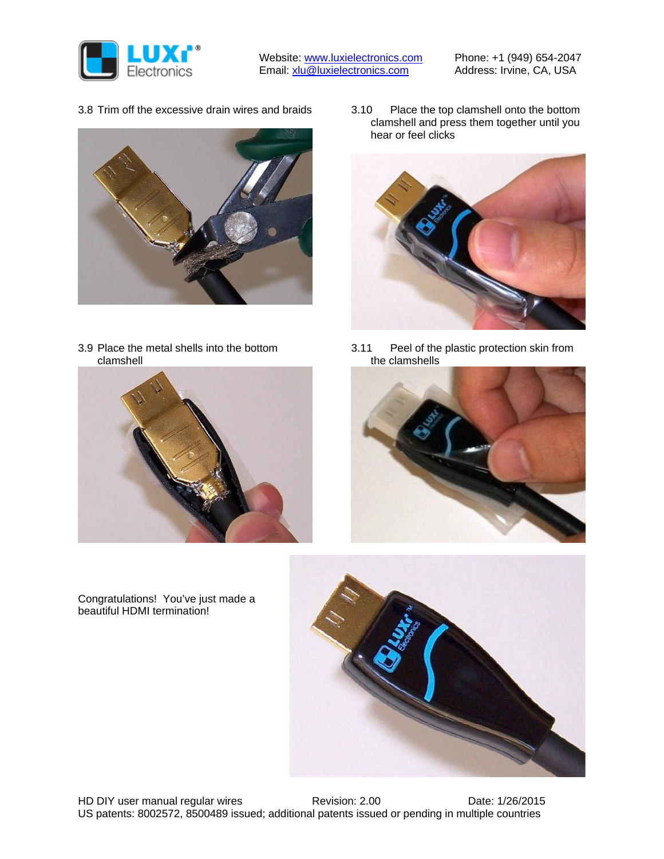

3.8 Trim off the excessive drain wires and braids



3.9 Place the metal shells into the bottom clamshell

3.10 Place the top clamshell onto the bottom clamshell and press them together until you hear or feel clicks



3.11 Peel of the plastic protection skin from the clamshells





Congratulations! You've just made a beautiful HDMI termination!

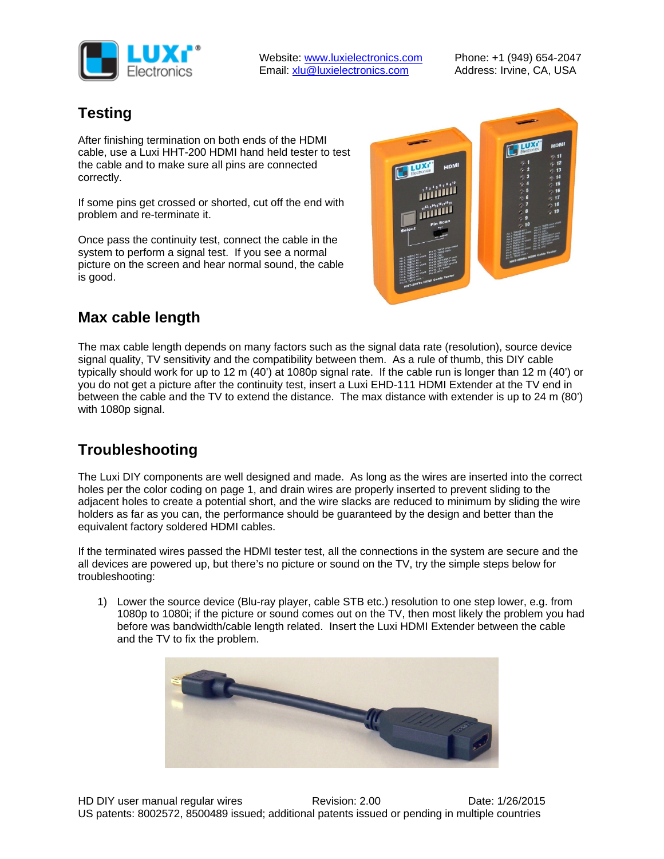

## **Testing**

After finishing termination on both ends of the HDMI cable, use a Luxi HHT-200 HDMI hand held tester to test the cable and to make sure all pins are connected correctly.

If some pins get crossed or shorted, cut off the end with problem and re-terminate it.

Once pass the continuity test, connect the cable in the system to perform a signal test. If you see a normal picture on the screen and hear normal sound, the cable is good.



## **Max cable length**

The max cable length depends on many factors such as the signal data rate (resolution), source device signal quality, TV sensitivity and the compatibility between them. As a rule of thumb, this DIY cable typically should work for up to 12 m (40') at 1080p signal rate. If the cable run is longer than 12 m (40') or you do not get a picture after the continuity test, insert a Luxi EHD-111 HDMI Extender at the TV end in between the cable and the TV to extend the distance. The max distance with extender is up to 24 m (80') with 1080p signal.

## **Troubleshooting**

The Luxi DIY components are well designed and made. As long as the wires are inserted into the correct holes per the color coding on page 1, and drain wires are properly inserted to prevent sliding to the adjacent holes to create a potential short, and the wire slacks are reduced to minimum by sliding the wire holders as far as you can, the performance should be guaranteed by the design and better than the equivalent factory soldered HDMI cables.

If the terminated wires passed the HDMI tester test, all the connections in the system are secure and the all devices are powered up, but there's no picture or sound on the TV, try the simple steps below for troubleshooting:

1) Lower the source device (Blu-ray player, cable STB etc.) resolution to one step lower, e.g. from 1080p to 1080i; if the picture or sound comes out on the TV, then most likely the problem you had before was bandwidth/cable length related. Insert the Luxi HDMI Extender between the cable and the TV to fix the problem.